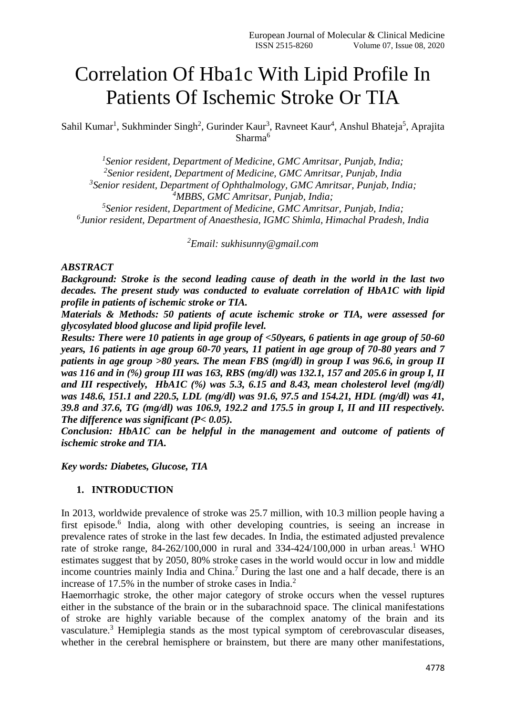# Correlation Of Hba1c With Lipid Profile In Patients Of Ischemic Stroke Or TIA

Sahil Kumar<sup>1</sup>, Sukhminder Singh<sup>2</sup>, Gurinder Kaur<sup>3</sup>, Ravneet Kaur<sup>4</sup>, Anshul Bhateja<sup>5</sup>, Aprajita Sharma<sup>6</sup>

 *Senior resident, Department of Medicine, GMC Amritsar, Punjab, India; Senior resident, Department of Medicine, GMC Amritsar, Punjab, India Senior resident, Department of Ophthalmology, GMC Amritsar, Punjab, India; MBBS, GMC Amritsar, Punjab, India; Senior resident, Department of Medicine, GMC Amritsar, Punjab, India;*

*6 Junior resident, Department of Anaesthesia, IGMC Shimla, Himachal Pradesh, India*

*<sup>2</sup>Email: sukhisunny@gmail.com*

# *ABSTRACT*

*Background: Stroke is the second leading cause of death in the world in the last two decades. The present study was conducted to evaluate correlation of HbA1C with lipid profile in patients of ischemic stroke or TIA.*

*Materials & Methods: 50 patients of acute ischemic stroke or TIA, were assessed for glycosylated blood glucose and lipid profile level.* 

*Results: There were 10 patients in age group of <50years, 6 patients in age group of 50-60 years, 16 patients in age group 60-70 years, 11 patient in age group of 70-80 years and 7 patients in age group >80 years. The mean FBS (mg/dl) in group I was 96.6, in group II was 116 and in (%) group III was 163, RBS (mg/dl) was 132.1, 157 and 205.6 in group I, II and III respectively, HbA1C (%) was 5.3, 6.15 and 8.43, mean cholesterol level (mg/dl) was 148.6, 151.1 and 220.5, LDL (mg/dl) was 91.6, 97.5 and 154.21, HDL (mg/dl) was 41, 39.8 and 37.6, TG (mg/dl) was 106.9, 192.2 and 175.5 in group I, II and III respectively. The difference was significant (P< 0.05).*

*Conclusion: HbA1C can be helpful in the management and outcome of patients of ischemic stroke and TIA.*

*Key words: Diabetes, Glucose, TIA*

# **1. INTRODUCTION**

In 2013, worldwide prevalence of stroke was 25.7 million, with 10.3 million people having a first episode.<sup>6</sup> India, along with other developing countries, is seeing an increase in prevalence rates of stroke in the last few decades. In India, the estimated adjusted prevalence rate of stroke range,  $84-262/100,000$  in rural and  $334-424/100,000$  in urban areas.<sup>1</sup> WHO estimates suggest that by 2050, 80% stroke cases in the world would occur in low and middle income countries mainly India and China.<sup>7</sup> During the last one and a half decade, there is an increase of  $17.5\%$  in the number of stroke cases in India.<sup>2</sup>

Haemorrhagic stroke, the other major category of stroke occurs when the vessel ruptures either in the substance of the brain or in the subarachnoid space. The clinical manifestations of stroke are highly variable because of the complex anatomy of the brain and its vasculature.<sup>3</sup> Hemiplegia stands as the most typical symptom of cerebrovascular diseases, whether in the cerebral hemisphere or brainstem, but there are many other manifestations,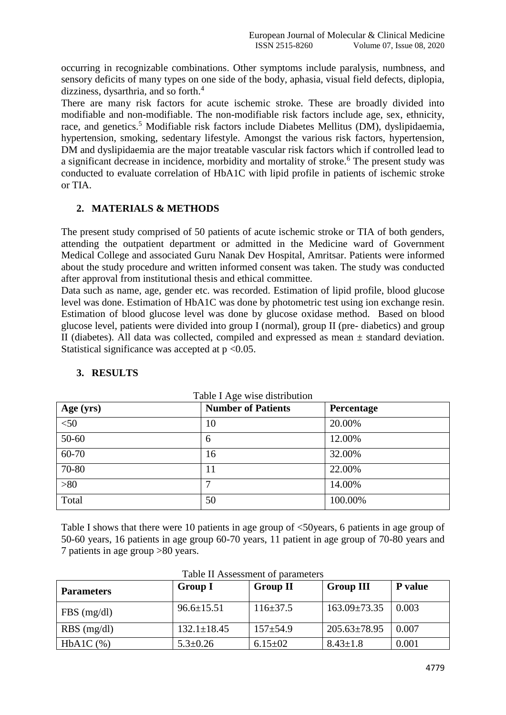occurring in recognizable combinations. Other symptoms include paralysis, numbness, and sensory deficits of many types on one side of the body, aphasia, visual field defects, diplopia, dizziness, dysarthria, and so forth.<sup>4</sup>

There are many risk factors for acute ischemic stroke. These are broadly divided into modifiable and non-modifiable. The non-modifiable risk factors include age, sex, ethnicity, race, and genetics.<sup>5</sup> Modifiable risk factors include Diabetes Mellitus (DM), dyslipidaemia, hypertension, smoking, sedentary lifestyle. Amongst the various risk factors, hypertension, DM and dyslipidaemia are the major treatable vascular risk factors which if controlled lead to a significant decrease in incidence, morbidity and mortality of stroke.<sup>6</sup> The present study was conducted to evaluate correlation of HbA1C with lipid profile in patients of ischemic stroke or TIA.

# **2. MATERIALS & METHODS**

The present study comprised of 50 patients of acute ischemic stroke or TIA of both genders, attending the outpatient department or admitted in the Medicine ward of Government Medical College and associated Guru Nanak Dev Hospital, Amritsar. Patients were informed about the study procedure and written informed consent was taken. The study was conducted after approval from institutional thesis and ethical committee.

Data such as name, age, gender etc. was recorded. Estimation of lipid profile, blood glucose level was done. Estimation of HbA1C was done by photometric test using ion exchange resin. Estimation of blood glucose level was done by glucose oxidase method. Based on blood glucose level, patients were divided into group I (normal), group II (pre- diabetics) and group II (diabetes). All data was collected, compiled and expressed as mean ± standard deviation. Statistical significance was accepted at  $p < 0.05$ .

| Table I Age wise distribution |                           |            |  |  |  |
|-------------------------------|---------------------------|------------|--|--|--|
| Age (yrs)                     | <b>Number of Patients</b> | Percentage |  |  |  |
| $\overline{50}$               | 10                        | 20.00%     |  |  |  |
| 50-60                         | 6                         | 12.00%     |  |  |  |
| 60-70                         | 16                        | 32.00%     |  |  |  |
| 70-80                         | 11                        | 22.00%     |  |  |  |
| $>80$                         | 7                         | 14.00%     |  |  |  |
| Total                         | 50                        | 100.00%    |  |  |  |

# **3. RESULTS**

Table I shows that there were 10 patients in age group of <50years, 6 patients in age group of 50-60 years, 16 patients in age group 60-70 years, 11 patient in age group of 70-80 years and 7 patients in age group >80 years.

| <b>Parameters</b> | <b>Group I</b>    | <b>Group II</b> | <b>Group III</b>   | P value |
|-------------------|-------------------|-----------------|--------------------|---------|
| $FBS$ (mg/dl)     | $96.6 \pm 15.51$  | $116 \pm 37.5$  | $163.09 \pm 73.35$ | 0.003   |
| $RBS$ (mg/dl)     | $132.1 \pm 18.45$ | $157 + 54.9$    | $205.63 \pm 78.95$ | 0.007   |
| $HbA1C$ $%$       | $5.3 \pm 0.26$    | $6.15 \pm 02$   | $8.43 \pm 1.8$     | 0.001   |

#### Table II Assessment of parameters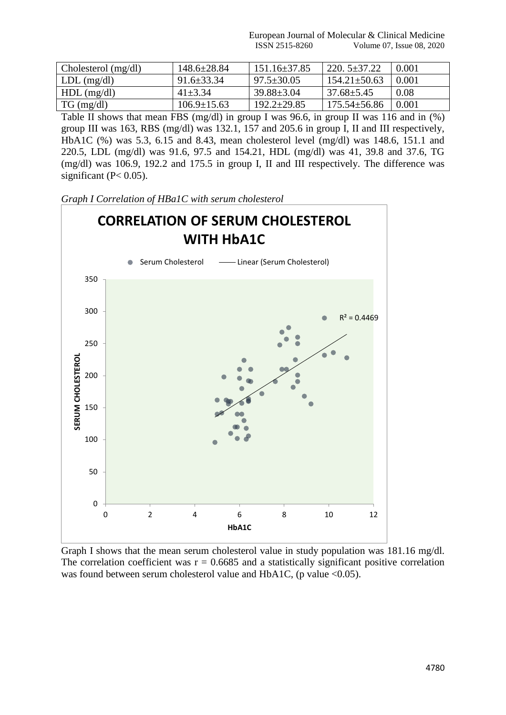| Cholesterol $(mg/dl)$ | 148.6±28.84       | $151.16 \pm 37.85$ | $220.5 \pm 37.22$  | 0.001 |
|-----------------------|-------------------|--------------------|--------------------|-------|
| $LDL$ (mg/dl)         | $91.6 \pm 33.34$  | $97.5 \pm 30.05$   | $154.21 \pm 50.63$ | 0.001 |
| $HDL$ (mg/dl)         | $41 + 3.34$       | $39.88 + 3.04$     | $37.68 \pm 5.45$   | 0.08  |
| $TG \, (mg/dl)$       | $106.9 \pm 15.63$ | $192.2 \pm 29.85$  | $175.54 \pm 56.86$ | 0.001 |
|                       |                   |                    |                    |       |

Table II shows that mean FBS (mg/dl) in group I was 96.6, in group II was 116 and in (%) group III was 163, RBS (mg/dl) was 132.1, 157 and 205.6 in group I, II and III respectively, HbA1C (%) was 5.3, 6.15 and 8.43, mean cholesterol level (mg/dl) was 148.6, 151.1 and 220.5, LDL (mg/dl) was 91.6, 97.5 and 154.21, HDL (mg/dl) was 41, 39.8 and 37.6, TG (mg/dl) was 106.9, 192.2 and 175.5 in group I, II and III respectively. The difference was significant  $(P< 0.05)$ .





Graph I shows that the mean serum cholesterol value in study population was 181.16 mg/dl. The correlation coefficient was  $r = 0.6685$  and a statistically significant positive correlation was found between serum cholesterol value and HbA1C, (p value <0.05).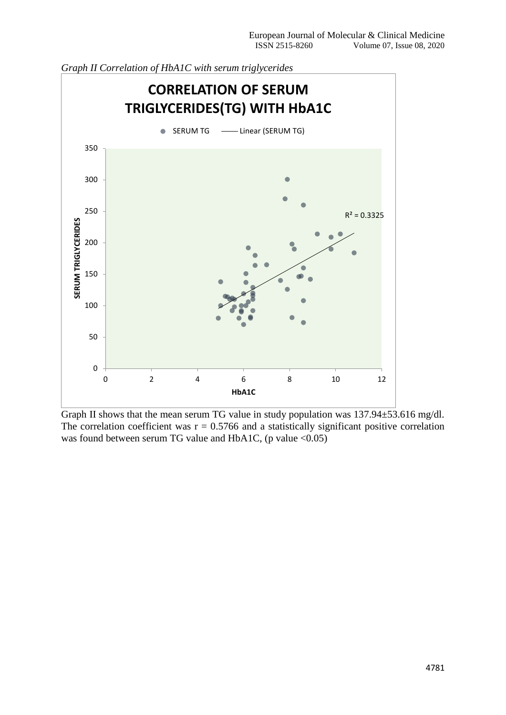

*Graph II Correlation of HbA1C with serum triglycerides*

Graph II shows that the mean serum TG value in study population was 137.94±53.616 mg/dl. The correlation coefficient was  $r = 0.5766$  and a statistically significant positive correlation was found between serum TG value and HbA1C, (p value <0.05)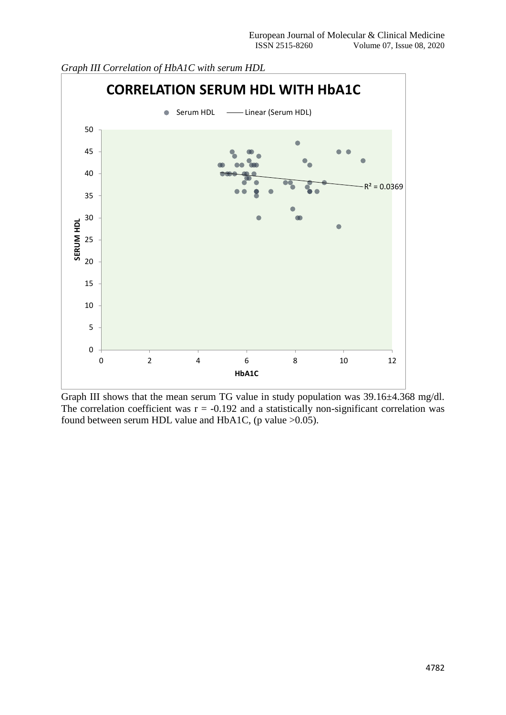

*Graph III Correlation of HbA1C with serum HDL*

Graph III shows that the mean serum TG value in study population was 39.16±4.368 mg/dl. The correlation coefficient was  $r = -0.192$  and a statistically non-significant correlation was found between serum HDL value and HbA1C, (p value >0.05).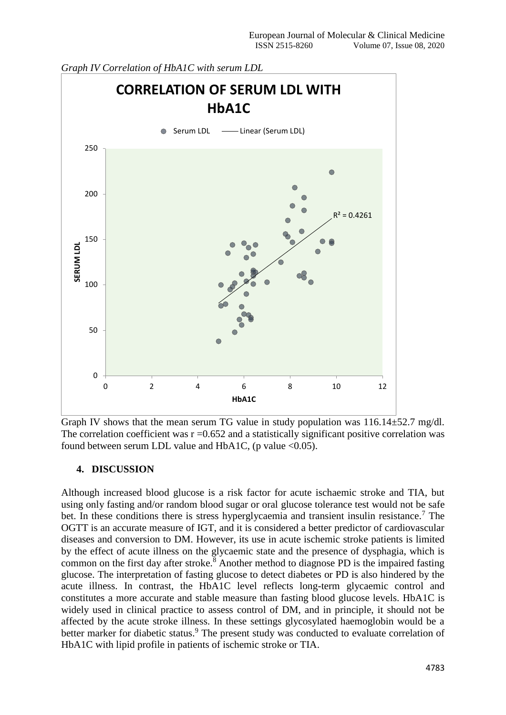

*Graph IV Correlation of HbA1C with serum LDL*

Graph IV shows that the mean serum TG value in study population was  $116.14 \pm 52.7$  mg/dl. The correlation coefficient was  $r = 0.652$  and a statistically significant positive correlation was found between serum LDL value and HbA1C, (p value  $\langle 0.05 \rangle$ ).

#### **4. DISCUSSION**

Although increased blood glucose is a risk factor for acute ischaemic stroke and TIA, but using only fasting and/or random blood sugar or oral glucose tolerance test would not be safe bet. In these conditions there is stress hyperglycaemia and transient insulin resistance.<sup>7</sup> The OGTT is an accurate measure of IGT, and it is considered a better predictor of cardiovascular diseases and conversion to DM. However, its use in acute ischemic stroke patients is limited by the effect of acute illness on the glycaemic state and the presence of dysphagia, which is common on the first day after stroke.<sup>8</sup> Another method to diagnose PD is the impaired fasting glucose. The interpretation of fasting glucose to detect diabetes or PD is also hindered by the acute illness. In contrast, the HbA1C level reflects long-term glycaemic control and constitutes a more accurate and stable measure than fasting blood glucose levels. HbA1C is widely used in clinical practice to assess control of DM, and in principle, it should not be affected by the acute stroke illness. In these settings glycosylated haemoglobin would be a better marker for diabetic status.<sup>9</sup> The present study was conducted to evaluate correlation of HbA1C with lipid profile in patients of ischemic stroke or TIA.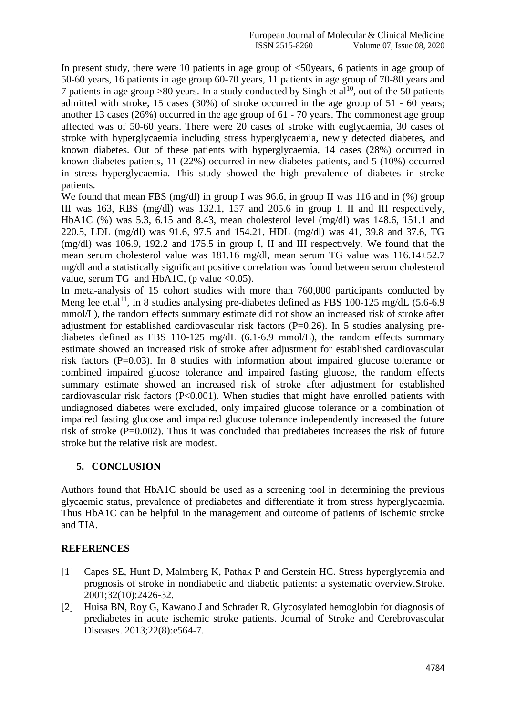In present study, there were 10 patients in age group of  $\leq 50$ years, 6 patients in age group of 50-60 years, 16 patients in age group 60-70 years, 11 patients in age group of 70-80 years and 7 patients in age group  $>80$  years. In a study conducted by Singh et al<sup>10</sup>, out of the 50 patients admitted with stroke, 15 cases (30%) of stroke occurred in the age group of 51 - 60 years; another 13 cases (26%) occurred in the age group of 61 - 70 years. The commonest age group affected was of 50-60 years. There were 20 cases of stroke with euglycaemia, 30 cases of stroke with hyperglycaemia including stress hyperglycaemia, newly detected diabetes, and known diabetes. Out of these patients with hyperglycaemia, 14 cases (28%) occurred in known diabetes patients, 11 (22%) occurred in new diabetes patients, and 5 (10%) occurred in stress hyperglycaemia. This study showed the high prevalence of diabetes in stroke patients.

We found that mean FBS (mg/dl) in group I was 96.6, in group II was 116 and in  $(\%)$  group III was 163, RBS (mg/dl) was 132.1, 157 and 205.6 in group I, II and III respectively, HbA1C (%) was 5.3, 6.15 and 8.43, mean cholesterol level (mg/dl) was 148.6, 151.1 and 220.5, LDL (mg/dl) was 91.6, 97.5 and 154.21, HDL (mg/dl) was 41, 39.8 and 37.6, TG (mg/dl) was 106.9, 192.2 and 175.5 in group I, II and III respectively. We found that the mean serum cholesterol value was 181.16 mg/dl, mean serum TG value was 116.14±52.7 mg/dl and a statistically significant positive correlation was found between serum cholesterol value, serum TG and HbA1C, (p value  $<0.05$ ).

In meta-analysis of 15 cohort studies with more than 760,000 participants conducted by Meng lee et.al<sup>11</sup>, in 8 studies analysing pre-diabetes defined as FBS 100-125 mg/dL (5.6-6.9) mmol/L), the random effects summary estimate did not show an increased risk of stroke after adjustment for established cardiovascular risk factors (P=0.26). In 5 studies analysing prediabetes defined as FBS 110-125 mg/dL (6.1-6.9 mmol/L), the random effects summary estimate showed an increased risk of stroke after adjustment for established cardiovascular risk factors (P=0.03). In 8 studies with information about impaired glucose tolerance or combined impaired glucose tolerance and impaired fasting glucose, the random effects summary estimate showed an increased risk of stroke after adjustment for established cardiovascular risk factors (P<0.001). When studies that might have enrolled patients with undiagnosed diabetes were excluded, only impaired glucose tolerance or a combination of impaired fasting glucose and impaired glucose tolerance independently increased the future risk of stroke  $(P=0.002)$ . Thus it was concluded that prediabetes increases the risk of future stroke but the relative risk are modest.

# **5. CONCLUSION**

Authors found that HbA1C should be used as a screening tool in determining the previous glycaemic status, prevalence of prediabetes and differentiate it from stress hyperglycaemia. Thus HbA1C can be helpful in the management and outcome of patients of ischemic stroke and TIA.

# **REFERENCES**

- [1] Capes SE, Hunt D, Malmberg K, Pathak P and Gerstein HC. Stress hyperglycemia and prognosis of stroke in nondiabetic and diabetic patients: a systematic overview.Stroke. 2001;32(10):2426-32.
- [2] Huisa BN, Roy G, Kawano J and Schrader R. Glycosylated hemoglobin for diagnosis of prediabetes in acute ischemic stroke patients. Journal of Stroke and Cerebrovascular Diseases. 2013;22(8):e564-7.